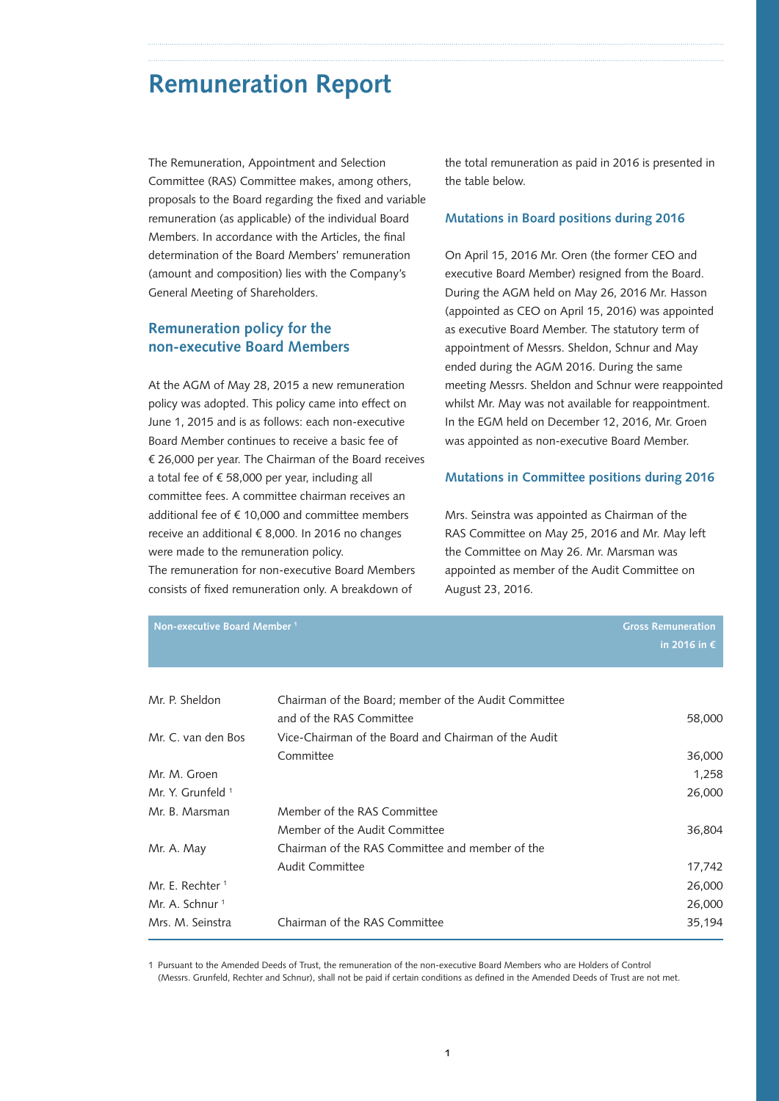# **Remuneration Report**

The Remuneration, Appointment and Selection Committee (RAS) Committee makes, among others, proposals to the Board regarding the fixed and variable remuneration (as applicable) of the individual Board Members. In accordance with the Articles, the final determination of the Board Members' remuneration (amount and composition) lies with the Company's General Meeting of Shareholders.

## **Remuneration policy for the non-executive Board Members**

At the AGM of May 28, 2015 a new remuneration policy was adopted. This policy came into effect on June 1, 2015 and is as follows: each non-executive Board Member continues to receive a basic fee of € 26,000 per year. The Chairman of the Board receives a total fee of € 58,000 per year, including all committee fees. A committee chairman receives an additional fee of € 10,000 and committee members receive an additional € 8,000. In 2016 no changes were made to the remuneration policy. The remuneration for non-executive Board Members

consists of fixed remuneration only. A breakdown of

the total remuneration as paid in 2016 is presented in the table below.

#### **Mutations in Board positions during 2016**

On April 15, 2016 Mr. Oren (the former CEO and executive Board Member) resigned from the Board. During the AGM held on May 26, 2016 Mr. Hasson (appointed as CEO on April 15, 2016) was appointed as executive Board Member. The statutory term of appointment of Messrs. Sheldon, Schnur and May ended during the AGM 2016. During the same meeting Messrs. Sheldon and Schnur were reappointed whilst Mr. May was not available for reappointment. In the EGM held on December 12, 2016, Mr. Groen was appointed as non-executive Board Member.

#### **Mutations in Committee positions during 2016**

Mrs. Seinstra was appointed as Chairman of the RAS Committee on May 25, 2016 and Mr. May left the Committee on May 26. Mr. Marsman was appointed as member of the Audit Committee on August 23, 2016.

| Non-executive Board Member <sup>1</sup> |                                                                                  | <b>Gross Remuneration</b><br>in 2016 in $\epsilon$ |
|-----------------------------------------|----------------------------------------------------------------------------------|----------------------------------------------------|
| Mr. P. Sheldon                          | Chairman of the Board; member of the Audit Committee<br>and of the RAS Committee | 58,000                                             |
| Mr. C. van den Bos                      | Vice-Chairman of the Board and Chairman of the Audit                             |                                                    |
|                                         | Committee                                                                        | 36,000                                             |
| Mr. M. Groen                            |                                                                                  | 1,258                                              |
| Mr. Y. Grunfeld 1                       |                                                                                  | 26,000                                             |
| Mr. B. Marsman                          | Member of the RAS Committee                                                      |                                                    |
|                                         | Member of the Audit Committee                                                    | 36,804                                             |
| Mr. A. May                              | Chairman of the RAS Committee and member of the                                  |                                                    |
|                                         | <b>Audit Committee</b>                                                           | 17,742                                             |
| Mr. E. Rechter <sup>1</sup>             |                                                                                  | 26,000                                             |
| Mr. A. Schnur <sup>1</sup>              |                                                                                  | 26,000                                             |
| Mrs. M. Seinstra                        | Chairman of the RAS Committee                                                    | 35,194                                             |

1 Pursuant to the Amended Deeds of Trust, the remuneration of the non-executive Board Members who are Holders of Control (Messrs. Grunfeld, Rechter and Schnur), shall not be paid if certain conditions as defined in the Amended Deeds of Trust are not met.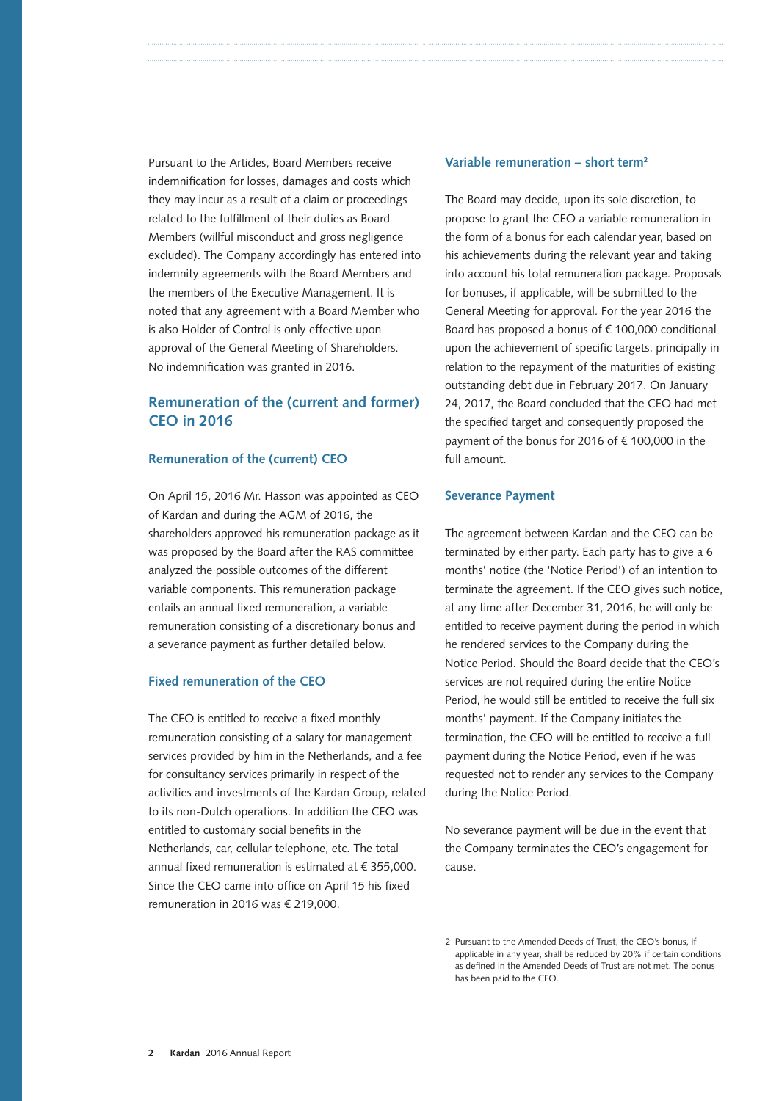Pursuant to the Articles, Board Members receive indemnification for losses, damages and costs which they may incur as a result of a claim or proceedings related to the fulfillment of their duties as Board Members (willful misconduct and gross negligence excluded). The Company accordingly has entered into indemnity agreements with the Board Members and the members of the Executive Management. It is noted that any agreement with a Board Member who is also Holder of Control is only effective upon approval of the General Meeting of Shareholders. No indemnification was granted in 2016.

## **Remuneration of the (current and former) CEO in 2016**

#### **Remuneration of the (current) CEO**

On April 15, 2016 Mr. Hasson was appointed as CEO of Kardan and during the AGM of 2016, the shareholders approved his remuneration package as it was proposed by the Board after the RAS committee analyzed the possible outcomes of the different variable components. This remuneration package entails an annual fixed remuneration, a variable remuneration consisting of a discretionary bonus and a severance payment as further detailed below.

#### **Fixed remuneration of the CEO**

The CEO is entitled to receive a fixed monthly remuneration consisting of a salary for management services provided by him in the Netherlands, and a fee for consultancy services primarily in respect of the activities and investments of the Kardan Group, related to its non-Dutch operations. In addition the CEO was entitled to customary social benefits in the Netherlands, car, cellular telephone, etc. The total annual fixed remuneration is estimated at € 355,000. Since the CEO came into office on April 15 his fixed remuneration in 2016 was € 219,000.

#### **Variable remuneration – short term2**

The Board may decide, upon its sole discretion, to propose to grant the CEO a variable remuneration in the form of a bonus for each calendar year, based on his achievements during the relevant year and taking into account his total remuneration package. Proposals for bonuses, if applicable, will be submitted to the General Meeting for approval. For the year 2016 the Board has proposed a bonus of  $f$  100,000 conditional upon the achievement of specific targets, principally in relation to the repayment of the maturities of existing outstanding debt due in February 2017. On January 24, 2017, the Board concluded that the CEO had met the specified target and consequently proposed the payment of the bonus for 2016 of € 100,000 in the full amount.

#### **Severance Payment**

The agreement between Kardan and the CEO can be terminated by either party. Each party has to give a 6 months' notice (the 'Notice Period') of an intention to terminate the agreement. If the CEO gives such notice, at any time after December 31, 2016, he will only be entitled to receive payment during the period in which he rendered services to the Company during the Notice Period. Should the Board decide that the CEO's services are not required during the entire Notice Period, he would still be entitled to receive the full six months' payment. If the Company initiates the termination, the CEO will be entitled to receive a full payment during the Notice Period, even if he was requested not to render any services to the Company during the Notice Period.

No severance payment will be due in the event that the Company terminates the CEO's engagement for cause.

<sup>2</sup> Pursuant to the Amended Deeds of Trust, the CEO's bonus, if applicable in any year, shall be reduced by 20% if certain conditions as defined in the Amended Deeds of Trust are not met. The bonus has been paid to the CEO.